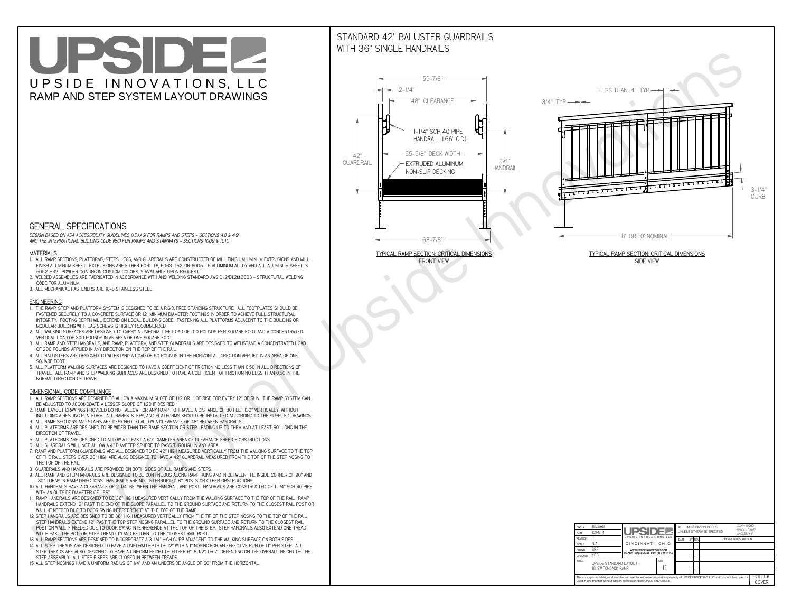# UPSIDEL UPSIDE INNOVATIONS, LLC RAMP AND STEP SYSTEM LAYOUT DRAWINGS

## STANDARD 42" BALUSTER GUARDRAILSWITH 36" SINGLE HANDRAILS

**FRONT VIEW**





**GENERAL SPECIFICATIONS**

 *DESIGN BASED ON ADA ACCESSIBILITY GUIDELINES (ADAAG) FOR RAMPS AND STEPS - SECTIONS 4.8 & 4.9AND THE INTERNATIONAL BUILDING CODE (IBC) FOR RAMPS AND STAIRWAYS - SECTIONS 1009 & 1010*

#### **MATERIALS**

- **1. ALL RAMP SECTIONS, PLATFORMS, STEPS, LEGS, AND GUARDRAILS ARE CONSTRUCTED OF MILL FINISH ALUMINUM EXTRUSIONS AND MILL FINISH ALUMINUM SHEET. EXTRUSIONS ARE EITHER 6061-T6, 6063-T52, OR 6005-T5 ALUMINUM ALLOY AND ALL ALUMINUM SHEET IS 5052-H32. POWDER COATING IN CUSTOM COLORS IS AVAILABLE UPON REQUEST.**
- **2. WELDED ASSEMBLIES ARE FABRICATED IN ACCORDANCE WITH ANSI WELDING STANDARD AWS D1.2/D1.2M:2003 STRUCTURAL WELDING CODE FOR ALUMINUM.**
- **3. ALL MECHANICAL FASTENERS ARE 18-8 STAINLESS STEEL.**

#### **ENGINEERING**

- **1. THE RAMP, STEP, AND PLATFORM SYSTEM IS DESIGNED TO BE A RIGID, FREE STANDING STRUCTURE. ALL FOOTPLATES SHOULD BE FASTENED SECURELY TO A CONCRETE SURFACE OR 12" MINIMUM DIAMETER FOOTINGS IN ORDER TO ACHIEVE FULL STRUCTURAL INTEGRITY. FOOTING DEPTH WILL DEPEND ON LOCAL BUILDING CODE. FASTENING ALL PLATFORMS ADJACENT TO THE BUILDING OR MODULAR BUILDING WITH LAG SCREWS IS HIGHLY RECOMMENDED.**
- **2. ALL WALKING SURFACES ARE DESIGNED TO CARRY A UNIFORM LIVE LOAD OF 100 POUNDS PER SQUARE FOOT AND A CONCENTRATED VERTICAL LOAD OF 300 POUNDS IN AN AREA OF ONE SQUARE FOOT.**
- **3. ALL RAMP AND STEP HANDRAILS, AND RAMP, PLATFORM, AND STEP GUARDRAILS ARE DESIGNED TO WITHSTAND A CONCENTRATED LOAD OF 200 POUNDS APPLIED IN ANY DIRECTION ON THE TOP OF THE RAIL.**
- **4. ALL BALUSTERS ARE DESIGNED TO WITHSTAND A LOAD OF 50 POUNDS IN THE HORIZONTAL DIRECTION APPLIED IN AN AREA OF ONE SQUARE FOOT.**
- **5. ALL PLATFORM WALKING SURFACES ARE DESIGNED TO HAVE A COEFFICIENT OF FRICTION NO LESS THAN 0.50 IN ALL DIRECTIONS OF TRAVEL. ALL RAMP AND STEP WALKING SURFACES ARE DESIGNED TO HAVE A COEFFICIENT OF FRICTION NO LESS THAN 0.50 IN THE NORMAL DIRECTION OF TRAVEL.**

| $DWG.$ #<br>DATE                                                                                                                                                                                            | 18_SWB<br>12/4/14                                      | UPSIDEL                                   |             | ALL DIMENSIONS IN INCHES<br>UNI FSS OTHERWISE SPECIFIED |                                              |  |  | $XXX = 0.060"$<br>$XXX \pm 0.015$ "<br>ANGLES $\pm$ 1° |                  |
|-------------------------------------------------------------------------------------------------------------------------------------------------------------------------------------------------------------|--------------------------------------------------------|-------------------------------------------|-------------|---------------------------------------------------------|----------------------------------------------|--|--|--------------------------------------------------------|------------------|
| <b>REVISION</b>                                                                                                                                                                                             |                                                        | UPSIDE INNOVATIONS LLC                    |             | DATE                                                    | <b>BY REV</b><br><b>REVISION DESCRIPTION</b> |  |  |                                                        |                  |
| <b>SCALE</b>                                                                                                                                                                                                | N/A                                                    | CINCINNATI, OHIO                          |             |                                                         |                                              |  |  |                                                        |                  |
| <b>DRAWN</b>                                                                                                                                                                                                | <b>SRF</b>                                             | WWW.UPSIDEINNOVATIONS.COM                 |             |                                                         |                                              |  |  |                                                        |                  |
| CHECKED                                                                                                                                                                                                     | <b>KRS</b>                                             | PHONE: (513) 889-2492 FAX: (513) 672-2124 |             |                                                         |                                              |  |  |                                                        |                  |
| <b>TITLE</b>                                                                                                                                                                                                | UPSIDE STANDARD LAYOUT -<br><b>18' SWITCHBACK RAMP</b> |                                           | <b>SIZE</b> |                                                         |                                              |  |  |                                                        |                  |
| The concepts and designs shown here-in are the exclusive proprietary property of UPSIDE INNOVATIONS LLC. and may not be copied or<br>used in any manner without written permission from UPSIDE INNOVATIONS. |                                                        |                                           |             |                                                         |                                              |  |  |                                                        | SHEET #<br>COVER |

### **DIMENSIONAL CODE COMPLIANCE**

- **1. ALL RAMP SECTIONS ARE DESIGNED TO ALLOW A MAXIMUM SLOPE OF 1:12 OR 1" OF RISE FOR EVERY 12" OF RUN. THE RAMP SYSTEM CAN BE ADJUSTED TO ACCOMODATE A LESSER SLOPE OF 1:20 IF DESIRED.**
- **2. RAMP LAYOUT DRAWINGS PROVIDED DO NOT ALLOW FOR ANY RAMP TO TRAVEL A DISTANCE OF 30 FEET (30" VERTICALLY) WITHOUT INCLUDING A RESTING PLATFORM. ALL RAMPS, STEPS, AND PLATFORMS SHOULD BE INSTALLED ACCORDING TO THE SUPPLIED DRAWINGS.**
- **3. ALL RAMP SECTIONS AND STAIRS ARE DESIGNED TO ALLOW A CLEARANCE OF 48" BETWEEN HANDRAILS.**
- **4. ALL PLATFORMS ARE DESIGNED TO BE WIDER THAN THE RAMP SECTION OR STEP LEADING UP TO THEM AND AT LEAST 60" LONG IN THE DIRECTION OF TRAVEL.**
- **5. ALL PLATFORMS ARE DESIGNED TO ALLOW AT LEAST A 60" DIAMETER AREA OF CLEARANCE FREE OF OBSTRUCTIONS.**
- **6. ALL GUARDRAILS WILL NOT ALLOW A 4" DIAMETER SPHERE TO PASS THROUGH IN ANY AREA.**
- **7. RAMP AND PLATFORM GUARDRAILS ARE ALL DESIGNED TO BE 42" HIGH MEASURED VERTICALLY FROM THE WALKING SURFACE TO THE TOP OF THE RAIL. STEPS OVER 30" HIGH ARE ALSO DESIGNED TO HAVE A 42" GUARDRAIL MEASURED FROM THE TOP OF THE STEP NOSING TO THE TOP OF THE RAIL.**
- **8. GUARDRAILS AND HANDRAILS ARE PROVIDED ON BOTH SIDES OF ALL RAMPS AND STEPS.**
- **9. ALL RAMP AND STEP HANDRAILS ARE DESIGNED TO BE CONTINUOUS ALONG RAMP RUNS AND IN BETWEEN THE INSIDE CORNER OF 90° AND 180° TURNS IN RAMP DIRECTIONS. HANDRAILS ARE NOT INTERRUPTED BY POSTS OR OTHER OBSTRUCTIONS.**
- **10. ALL HANDRAILS HAVE A CLEARANCE OF 2-1/4" BETWEEN THE HANDRAIL AND POST. HANDRAILS ARE CONSTRUCTED OF 1-1/4" SCH 40 PIPE WITH AN OUTSIDE DIAMETER OF 1.66"**
- **11. RAMP HANDRAILS ARE DESIGNED TO BE 36" HIGH MEASURED VERTICALLY FROM THE WALKING SURFACE TO THE TOP OF THE RAIL. RAMP HANDRAILS EXTEND 12" PAST THE END OF THE SLOPE PARALLEL TO THE GROUND SURFACE AND RETURN TO THE CLOSEST RAIL POST OR WALL IF NEEDED DUE TO DOOR SWING INTERFERENCE AT THE TOP OF THE RAMP.**
- **12. STEP HANDRAILS ARE DESIGNED TO BE 36" HIGH MEASURED VERTICALLY FROM THE TIP OF THE STEP NOSING TO THE TOP OF THE RAIL. STEP HANDRAILS EXTEND 12" PAST THE TOP STEP NOSING PARALLEL TO THE GROUND SURFACE AND RETURN TO THE CLOSEST RAIL POST OR WALL IF NEEDED DUE TO DOOR SWING INTERFERENCE AT THE TOP OF THE STEP. STEP HANDRAILS ALSO EXTEND ONE TREAD**
- **WIDTH PAST THE BOTTOM STEP TREAD (11") AND RETURN TO THE CLOSEST RAIL POST.**
- **13. ALL RAMP SECTIONS ARE DESIGNED TO INCORPORATE A 3-1/4" HIGH CURB ADJACENT TO THE WALKING SURFACE ON BOTH SIDES.**
- **14. ALL STEP TREADS ARE DESIGNED TO HAVE A UNIFORM DEPTH OF 12" WITH A 1" NOSING FOR AN EFFECTIVE RUN OF 11" PER STEP. ALL STEP TREADS ARE ALSO DESIGNED TO HAVE A UNIFORM HEIGHT OF EITHER 6", 6-1/2", OR 7" DEPENDING ON THE OVERALL HEIGHT OF THE STEP ASSEMBLY. ALL STEP RISERS ARE CLOSED IN BETWEEN TREADS.**
- **15. ALL STEP NOSINGS HAVE A UNIFORM RADIUS OF 1/4" AND AN UNDERSIDE ANGLE OF 60° FROM THE HORIZONTAL.**